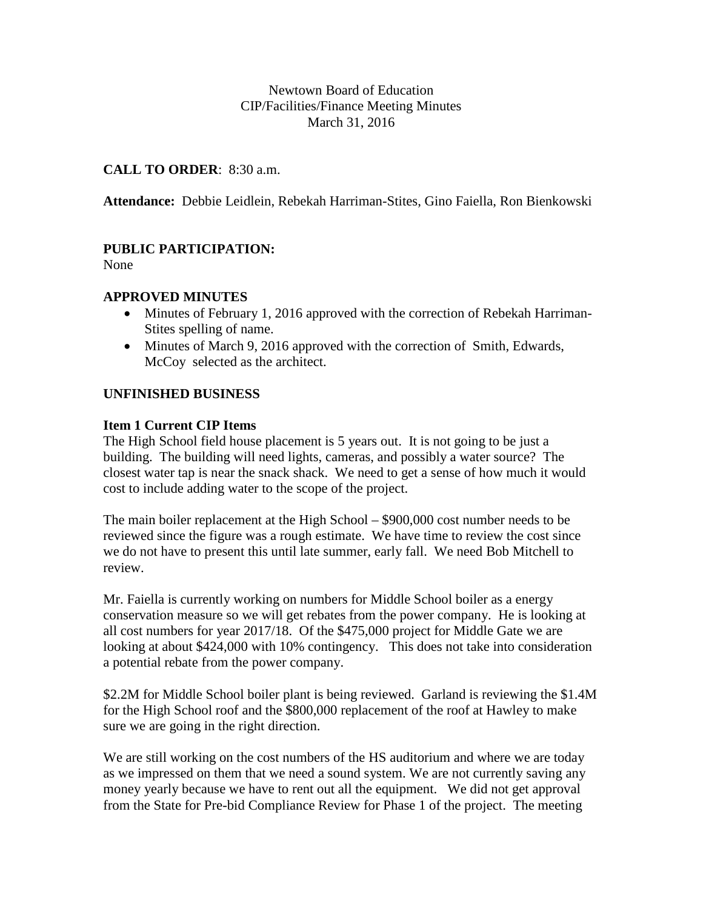## Newtown Board of Education CIP/Facilities/Finance Meeting Minutes March 31, 2016

## **CALL TO ORDER**: 8:30 a.m.

**Attendance:** Debbie Leidlein, Rebekah Harriman-Stites, Gino Faiella, Ron Bienkowski

# **PUBLIC PARTICIPATION:**

None

## **APPROVED MINUTES**

- Minutes of February 1, 2016 approved with the correction of Rebekah Harriman-Stites spelling of name.
- Minutes of March 9, 2016 approved with the correction of Smith, Edwards, McCoy selected as the architect.

## **UNFINISHED BUSINESS**

#### **Item 1 Current CIP Items**

The High School field house placement is 5 years out. It is not going to be just a building. The building will need lights, cameras, and possibly a water source? The closest water tap is near the snack shack. We need to get a sense of how much it would cost to include adding water to the scope of the project.

The main boiler replacement at the High School – \$900,000 cost number needs to be reviewed since the figure was a rough estimate. We have time to review the cost since we do not have to present this until late summer, early fall. We need Bob Mitchell to review.

Mr. Faiella is currently working on numbers for Middle School boiler as a energy conservation measure so we will get rebates from the power company. He is looking at all cost numbers for year 2017/18. Of the \$475,000 project for Middle Gate we are looking at about \$424,000 with 10% contingency. This does not take into consideration a potential rebate from the power company.

\$2.2M for Middle School boiler plant is being reviewed. Garland is reviewing the \$1.4M for the High School roof and the \$800,000 replacement of the roof at Hawley to make sure we are going in the right direction.

We are still working on the cost numbers of the HS auditorium and where we are today as we impressed on them that we need a sound system. We are not currently saving any money yearly because we have to rent out all the equipment. We did not get approval from the State for Pre-bid Compliance Review for Phase 1 of the project. The meeting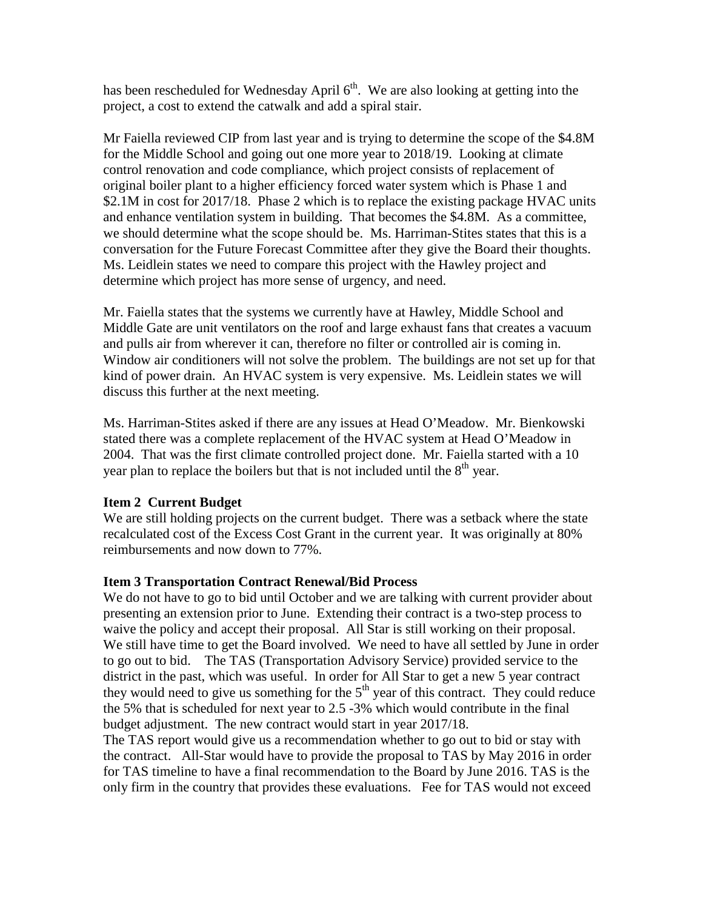has been rescheduled for Wednesday April  $6<sup>th</sup>$ . We are also looking at getting into the project, a cost to extend the catwalk and add a spiral stair.

Mr Faiella reviewed CIP from last year and is trying to determine the scope of the \$4.8M for the Middle School and going out one more year to 2018/19. Looking at climate control renovation and code compliance, which project consists of replacement of original boiler plant to a higher efficiency forced water system which is Phase 1 and \$2.1M in cost for 2017/18. Phase 2 which is to replace the existing package HVAC units and enhance ventilation system in building. That becomes the \$4.8M. As a committee, we should determine what the scope should be. Ms. Harriman-Stites states that this is a conversation for the Future Forecast Committee after they give the Board their thoughts. Ms. Leidlein states we need to compare this project with the Hawley project and determine which project has more sense of urgency, and need.

Mr. Faiella states that the systems we currently have at Hawley, Middle School and Middle Gate are unit ventilators on the roof and large exhaust fans that creates a vacuum and pulls air from wherever it can, therefore no filter or controlled air is coming in. Window air conditioners will not solve the problem. The buildings are not set up for that kind of power drain. An HVAC system is very expensive. Ms. Leidlein states we will discuss this further at the next meeting.

Ms. Harriman-Stites asked if there are any issues at Head O'Meadow. Mr. Bienkowski stated there was a complete replacement of the HVAC system at Head O'Meadow in 2004. That was the first climate controlled project done. Mr. Faiella started with a 10 year plan to replace the boilers but that is not included until the  $8<sup>th</sup>$  year.

#### **Item 2 Current Budget**

We are still holding projects on the current budget. There was a setback where the state recalculated cost of the Excess Cost Grant in the current year. It was originally at 80% reimbursements and now down to 77%.

#### **Item 3 Transportation Contract Renewal/Bid Process**

We do not have to go to bid until October and we are talking with current provider about presenting an extension prior to June. Extending their contract is a two-step process to waive the policy and accept their proposal. All Star is still working on their proposal. We still have time to get the Board involved. We need to have all settled by June in order to go out to bid. The TAS (Transportation Advisory Service) provided service to the district in the past, which was useful. In order for All Star to get a new 5 year contract they would need to give us something for the  $5<sup>th</sup>$  year of this contract. They could reduce the 5% that is scheduled for next year to 2.5 -3% which would contribute in the final budget adjustment. The new contract would start in year 2017/18.

The TAS report would give us a recommendation whether to go out to bid or stay with the contract. All-Star would have to provide the proposal to TAS by May 2016 in order for TAS timeline to have a final recommendation to the Board by June 2016. TAS is the only firm in the country that provides these evaluations. Fee for TAS would not exceed